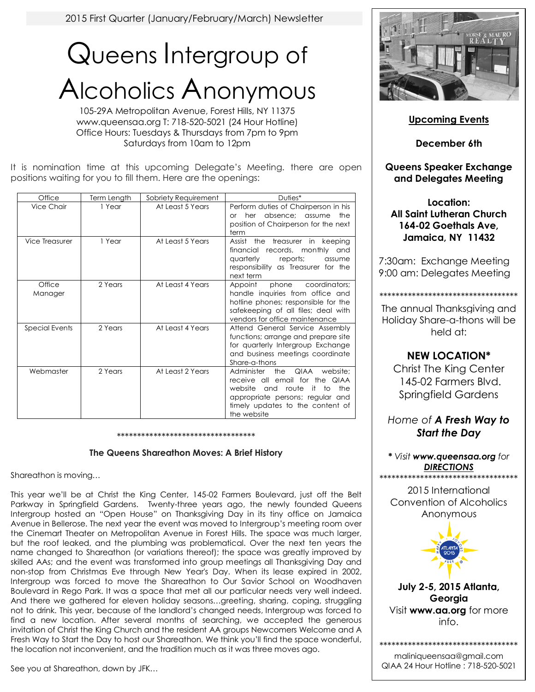2015 First Quarter (January/February/March) Newsletter

# Queens Intergroup of Alcoholics Anonymous

105-29A Metropolitan Avenue, Forest Hills, NY 11375 www.queensaa.org T: 718-520-5021 (24 Hour Hotline) Office Hours: Tuesdays & Thursdays from 7pm to 9pm Saturdays from 10am to 12pm

It is nomination time at this upcoming Delegate's Meeting. there are open positions waiting for you to fill them. Here are the openings:

| Office            | Term Length | Sobriety Requirement | Duties*                                                                                                                                                                                                       |
|-------------------|-------------|----------------------|---------------------------------------------------------------------------------------------------------------------------------------------------------------------------------------------------------------|
| Vice Chair        | 1 Year      | At Least 5 Years     | Perform duties of Chairperson in his<br>her<br>absence: assume<br>the<br>$\alpha$ r<br>position of Chairperson for the next<br>term                                                                           |
| Vice Treasurer    | 1 Year      | At Least 5 Years     | the<br>treasurer in<br>keeping<br>Assist<br>financial<br>records, monthly and<br>quarterly<br>reports;<br>assume<br>responsibility as Treasurer for the<br>next term                                          |
| Office<br>Manager | 2 Years     | At Least 4 Years     | coordinators;<br>Appoint<br>phone<br>handle inquiries from office and<br>hotline phones; responsible for the<br>safekeeping of all files; deal with<br>vendors for office maintenance                         |
| Special Events    | 2 Years     | At Least 4 Years     | Attend General Service Assembly<br>functions; arrange and prepare site<br>for quarterly Intergroup Exchange<br>and business meetings coordinate<br>Share-a-thons                                              |
| Webmaster         | 2 Years     | At Least 2 Years     | Administer<br>the<br>QIAA<br>website:<br>receive all email for the QIAA<br>website<br>the<br>and<br>route<br>it.<br>to<br>appropriate persons; regular and<br>timely updates to the content of<br>the website |

\*\*\*\*\*\*\*\*\*\*\*\*\*\*\*\*\*\*\*\*\*\*\*\*\*\*\*\*\*\*\*\*\*\*

#### **The Queens Shareathon Moves: A Brief History**

Shareathon is moving…

This year we'll be at Christ the King Center, 145-02 Farmers Boulevard, just off the Belt Parkway in Springfield Gardens. Twenty-three years ago, the newly founded Queens Intergroup hosted an "Open House" on Thanksgiving Day in its tiny office on Jamaica Avenue in Bellerose. The next year the event was moved to Intergroup's meeting room over the Cinemart Theater on Metropolitan Avenue in Forest Hills. The space was much larger, but the roof leaked, and the plumbing was problematical. Over the next ten years the name changed to Shareathon (or variations thereof); the space was greatly improved by skilled AAs; and the event was transformed into group meetings all Thanksgiving Day and non-stop from Christmas Eve through New Year's Day. When its lease expired in 2002, Intergroup was forced to move the Shareathon to Our Savior School on Woodhaven Boulevard in Rego Park. It was a space that met all our particular needs very well indeed. And there we gathered for eleven holiday seasons…greeting, sharing, coping, struggling not to drink. This year, because of the landlord's changed needs, Intergroup was forced to find a new location. After several months of searching, we accepted the generous invitation of Christ the King Church and the resident AA groups Newcomers Welcome and A Fresh Way to Start the Day to host our Shareathon. We think you'll find the space wonderful, the location not inconvenient, and the tradition much as it was three moves ago.

See you at Shareathon, down by JFK…



**Upcoming Events**

**December 6th**

## **Queens Speaker Exchange and Delegates Meeting**

**Location: All Saint Lutheran Church 164-02 Goethals Ave, Jamaica, NY 11432**

7:30am: Exchange Meeting 9:00 am: Delegates Meeting

\*\*\*\*\*\*\*\*\*\*\*\*\*\*\*\*\*\*\*\*\*\*\*\*\*\*\*\*\*\*\*\*\*\* The annual Thanksgiving and

Holiday Share-a-thons will be held at:

## **NEW LOCATION\***

Christ The King Center 145-02 Farmers Blvd. Springfield Gardens

*Home of A Fresh Way to Start the Day*

*\* Visit www.queensaa.org for DIRECTIONS* \*\*\*\*\*\*\*\*\*\*\*\*\*\*\*\*\*\*\*\*\*\*\*\*\*\*\*\*\*\*\*\*\*\*

2015 International Convention of Alcoholics Anonymous



**July 2-5, 2015 Atlanta, Georgia** Visit **www.aa.org** for more info.

\*\*\*\*\*\*\*\*\*\*\*\*\*\*\*\*\*\*\*\*\*\*\*\*\*\*\*\*\*\*\*\*\*\* maliniqueensaa@gmail.com QIAA 24 Hour Hotline : 718-520-5021